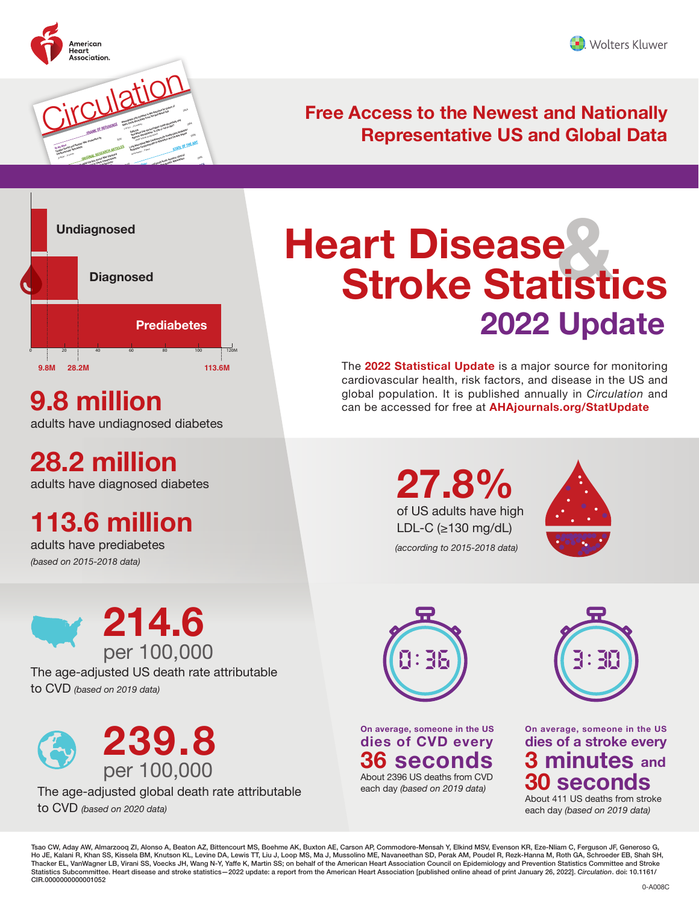

Breathe or Not to Breathe: That Is the Question



### **Free Access to the Newest and Nationally Representative US and Global Data**



adults have undiagnosed diabetes

**28.2 million** 

adults have diagnosed diabetes

# **113.6 million**

adults have prediabetes *(based on 2015-2018 data)* 



The age-adjusted US death rate attributable to CVD *(based on 2019 data)*



The age-adjusted global death rate attributable

to CVD *(based on 2020 data)*

# **Heart Disease Stroke Statistics & 2022 Update**

The **2022 Statistical Update** is a major source for monitoring cardiovascular health, risk factors, and disease in the US and **g**lobal population. It is published annually in *Circulation* and **9.8 million can be accessed for free at [AHAjournals.org/StatUpdate](https://AHAjournals.org/StatUpdate)** 

> **27.8%**  of US adults have high LDL-C (≥130 mg/dL) *(according to 2015-2018 data)*





**On average, someone in the US dies of CVD every 36 seconds**  About 2396 US deaths from CVD each day *(based on 2019 data)* 



**On average, someone in the US dies of a stroke every minutes and Seconds** 

About 411 US deaths from stroke each day *(based on 2019 data)* 

Tsao CW, Aday AW, Almarzooq ZI, Alonso A, Beaton AZ, Bittencourt MS, Boehme AK, Buxton AE, Carson AP, Commodore-Mensah Y, Elkind MSV, Evenson KR, Eze-Nliam C, Ferguson JF, Generoso G, Ho JE, Kalani R, Khan SS, Kissela BM, Knutson KL, Levine DA, Lewis TT, Liu J, Loop MS, Ma J, Mussolino ME, Navaneethan SD, Perak AM, Poudel R, Rezk-Hanna M, Roth GA, Schroeder EB, Shah SH, Thacker EL, VanWagner LB, Virani SS, Voecks JH, Wang N-Y, Yaffe K, Martin SS; on behalf of the American Heart Association Council on Epidemiology and Prevention Statistics Committee and Stroke<br>Statistics Subcommittee. Hear CIR.0000000000001052